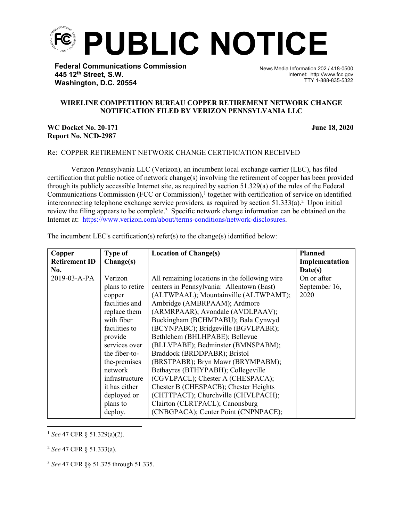

**Federal Communications Commission 445 12th Street, S.W. Washington, D.C. 20554**

News Media Information 202 / 418-0500 Internet: http://www.fcc.gov TTY 1-888-835-5322

## **WIRELINE COMPETITION BUREAU COPPER RETIREMENT NETWORK CHANGE NOTIFICATION FILED BY VERIZON PENNSYLVANIA LLC**

֡֡֡֡

## **WC Docket No. 20-171 June 18, 2020 Report No. NCD-2987**

## Re: COPPER RETIREMENT NETWORK CHANGE CERTIFICATION RECEIVED

Verizon Pennsylvania LLC (Verizon), an incumbent local exchange carrier (LEC), has filed certification that public notice of network change(s) involving the retirement of copper has been provided through its publicly accessible Internet site, as required by section 51.329(a) of the rules of the Federal Communications Commission (FCC or Commission),<sup>1</sup> together with certification of service on identified interconnecting telephone exchange service providers, as required by section  $51.333(a)$ .<sup>2</sup> Upon initial review the filing appears to be complete.<sup>3</sup> Specific network change information can be obtained on the Internet at: <https://www.verizon.com/about/terms-conditions/network-disclosures>.

| Copper<br><b>Retirement ID</b><br>No. | <b>Type of</b><br>Change(s)                                                                                                                                                                                                                            | <b>Location of Change(s)</b>                                                                                                                                                                                                                                                                                                                                                                                                                                                                                                                                                                                                                                            | <b>Planned</b><br>Implementation<br>Date(s) |
|---------------------------------------|--------------------------------------------------------------------------------------------------------------------------------------------------------------------------------------------------------------------------------------------------------|-------------------------------------------------------------------------------------------------------------------------------------------------------------------------------------------------------------------------------------------------------------------------------------------------------------------------------------------------------------------------------------------------------------------------------------------------------------------------------------------------------------------------------------------------------------------------------------------------------------------------------------------------------------------------|---------------------------------------------|
| 2019-03-A-PA                          | Verizon<br>plans to retire<br>copper<br>facilities and<br>replace them<br>with fiber<br>facilities to<br>provide<br>services over<br>the fiber-to-<br>the-premises<br>network<br>infrastructure<br>it has either<br>deployed or<br>plans to<br>deploy. | All remaining locations in the following wire<br>centers in Pennsylvania: Allentown (East)<br>(ALTWPAAL); Mountainville (ALTWPAMT);<br>Ambridge (AMBRPAAM); Ardmore<br>(ARMRPAAR); Avondale (AVDLPAAV);<br>Buckingham (BCHMPABU); Bala Cynwyd<br>(BCYNPABC); Bridgeville (BGVLPABR);<br>Bethlehem (BHLHPABE); Bellevue<br>(BLLVPABE); Bedminster (BMNSPABM);<br>Braddock (BRDDPABR); Bristol<br>(BRSTPABR); Bryn Mawr (BRYMPABM);<br>Bethayres (BTHYPABH); Collegeville<br>(CGVLPACL); Chester A (CHESPACA);<br>Chester B (CHESPACB); Chester Heights<br>(CHTTPACT); Churchville (CHVLPACH);<br>Clairton (CLRTPACL); Canonsburg<br>(CNBGPACA); Center Point (CNPNPACE); | On or after<br>September 16,<br>2020        |

The incumbent LEC's certification(s) refer(s) to the change(s) identified below:

<sup>1</sup> *See* 47 CFR § 51.329(a)(2).

<sup>2</sup> *See* 47 CFR § 51.333(a).

<sup>3</sup> *See* 47 CFR §§ 51.325 through 51.335.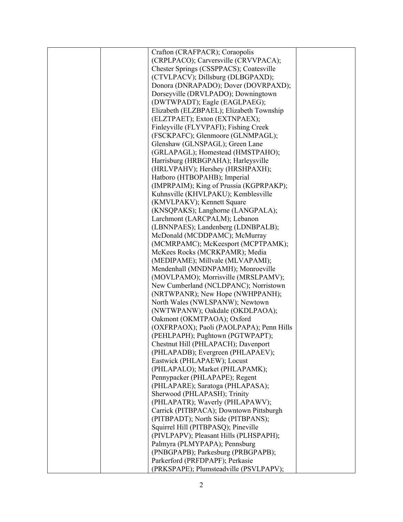|  | Crafton (CRAFPACR); Coraopolis           |  |
|--|------------------------------------------|--|
|  | (CRPLPACO); Carversville (CRVVPACA);     |  |
|  | Chester Springs (CSSPPACS); Coatesville  |  |
|  | (CTVLPACV); Dillsburg (DLBGPAXD);        |  |
|  | Donora (DNRAPADO); Dover (DOVRPAXD);     |  |
|  | Dorseyville (DRVLPADO); Downingtown      |  |
|  | (DWTWPADT); Eagle (EAGLPAEG);            |  |
|  | Elizabeth (ELZBPAEL); Elizabeth Township |  |
|  | (ELZTPAET); Exton (EXTNPAEX);            |  |
|  | Finleyville (FLYVPAFI); Fishing Creek    |  |
|  | (FSCKPAFC); Glenmoore (GLNMPAGL);        |  |
|  | Glenshaw (GLNSPAGL); Green Lane          |  |
|  | (GRLAPAGL); Homestead (HMSTPAHO);        |  |
|  | Harrisburg (HRBGPAHA); Harleysville      |  |
|  | (HRLVPAHV); Hershey (HRSHPAXH);          |  |
|  | Hatboro (HTBOPAHB); Imperial             |  |
|  | (IMPRPAIM); King of Prussia (KGPRPAKP);  |  |
|  | Kuhnsville (KHVLPAKU); Kemblesville      |  |
|  | (KMVLPAKV); Kennett Square               |  |
|  | (KNSQPAKS); Langhorne (LANGPALA);        |  |
|  | Larchmont (LARCPALM); Lebanon            |  |
|  | (LBNNPAES); Landenberg (LDNBPALB);       |  |
|  | McDonald (MCDDPAMC); McMurray            |  |
|  | (MCMRPAMC); McKeesport (MCPTPAMK);       |  |
|  | McKees Rocks (MCRKPAMR); Media           |  |
|  | (MEDIPAME); Millvale (MLVAPAMI);         |  |
|  | Mendenhall (MNDNPAMH); Monroeville       |  |
|  | (MOVLPAMO); Morrisville (MRSLPAMV);      |  |
|  | New Cumberland (NCLDPANC); Norristown    |  |
|  | (NRTWPANR); New Hope (NWHPPANH);         |  |
|  | North Wales (NWLSPANW); Newtown          |  |
|  | (NWTWPANW); Oakdale (OKDLPAOA);          |  |
|  | Oakmont (OKMTPAOA); Oxford               |  |
|  | (OXFRPAOX); Paoli (PAOLPAPA); Penn Hills |  |
|  | (PEHLPAPH); Pughtown (PGTWPAPT);         |  |
|  | Chestnut Hill (PHLAPACH); Davenport      |  |
|  | (PHLAPADB); Evergreen (PHLAPAEV);        |  |
|  | Eastwick (PHLAPAEW); Locust              |  |
|  | (PHLAPALO); Market (PHLAPAMK);           |  |
|  | Pennypacker (PHLAPAPE); Regent           |  |
|  | (PHLAPARE); Saratoga (PHLAPASA);         |  |
|  | Sherwood (PHLAPASH); Trinity             |  |
|  | (PHLAPATR); Waverly (PHLAPAWV);          |  |
|  | Carrick (PITBPACA); Downtown Pittsburgh  |  |
|  | (PITBPADT); North Side (PITBPANS);       |  |
|  | Squirrel Hill (PITBPASQ); Pineville      |  |
|  | (PIVLPAPV); Pleasant Hills (PLHSPAPH);   |  |
|  | Palmyra (PLMYPAPA); Pennsburg            |  |
|  | (PNBGPAPB); Parkesburg (PRBGPAPB);       |  |
|  | Parkerford (PRFDPAPF); Perkasie          |  |
|  | (PRKSPAPE); Plumsteadville (PSVLPAPV);   |  |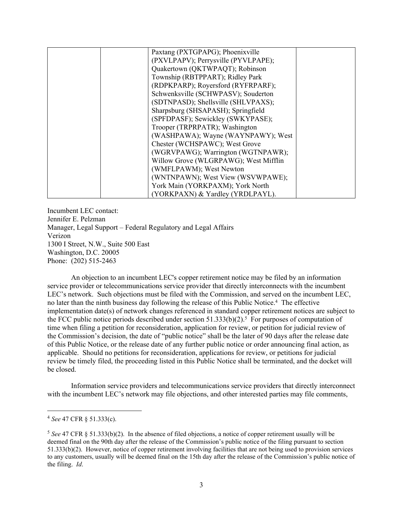| Paxtang (PXTGPAPG); Phoenixville      |  |
|---------------------------------------|--|
| (PXVLPAPV); Perrysville (PYVLPAPE);   |  |
| Quakertown (QKTWPAQT); Robinson       |  |
| Township (RBTPPART); Ridley Park      |  |
| (RDPKPARP); Royersford (RYFRPARF);    |  |
| Schwenksville (SCHWPASV); Souderton   |  |
| (SDTNPASD); Shellsville (SHLVPAXS);   |  |
| Sharpsburg (SHSAPASH); Springfield    |  |
| (SPFDPASF); Sewickley (SWKYPASE);     |  |
| Trooper (TRPRPATR); Washington        |  |
| (WASHPAWA); Wayne (WAYNPAWY); West    |  |
| Chester (WCHSPAWC); West Grove        |  |
| (WGRVPAWG); Warrington (WGTNPAWR);    |  |
| Willow Grove (WLGRPAWG); West Mifflin |  |
| (WMFLPAWM); West Newton               |  |
| (WNTNPAWN); West View (WSVWPAWE);     |  |
| York Main (YORKPAXM); York North      |  |
| (YORKPAXN) & Yardley (YRDLPAYL).      |  |

Incumbent LEC contact: Jennifer E. Pelzman Manager, Legal Support – Federal Regulatory and Legal Affairs Verizon 1300 I Street, N.W., Suite 500 East Washington, D.C. 20005 Phone: (202) 515-2463

An objection to an incumbent LEC's copper retirement notice may be filed by an information service provider or telecommunications service provider that directly interconnects with the incumbent LEC's network. Such objections must be filed with the Commission, and served on the incumbent LEC, no later than the ninth business day following the release of this Public Notice.<sup>4</sup> The effective implementation date(s) of network changes referenced in standard copper retirement notices are subject to the FCC public notice periods described under section  $51.333(b)(2)$ .<sup>5</sup> For purposes of computation of time when filing a petition for reconsideration, application for review, or petition for judicial review of the Commission's decision, the date of "public notice" shall be the later of 90 days after the release date of this Public Notice, or the release date of any further public notice or order announcing final action, as applicable. Should no petitions for reconsideration, applications for review, or petitions for judicial review be timely filed, the proceeding listed in this Public Notice shall be terminated, and the docket will be closed.

Information service providers and telecommunications service providers that directly interconnect with the incumbent LEC's network may file objections, and other interested parties may file comments,

<sup>4</sup> *See* 47 CFR § 51.333(c).

<sup>5</sup> *See* 47 CFR § 51.333(b)(2). In the absence of filed objections, a notice of copper retirement usually will be deemed final on the 90th day after the release of the Commission's public notice of the filing pursuant to section 51.333(b)(2). However, notice of copper retirement involving facilities that are not being used to provision services to any customers, usually will be deemed final on the 15th day after the release of the Commission's public notice of the filing. *Id*.